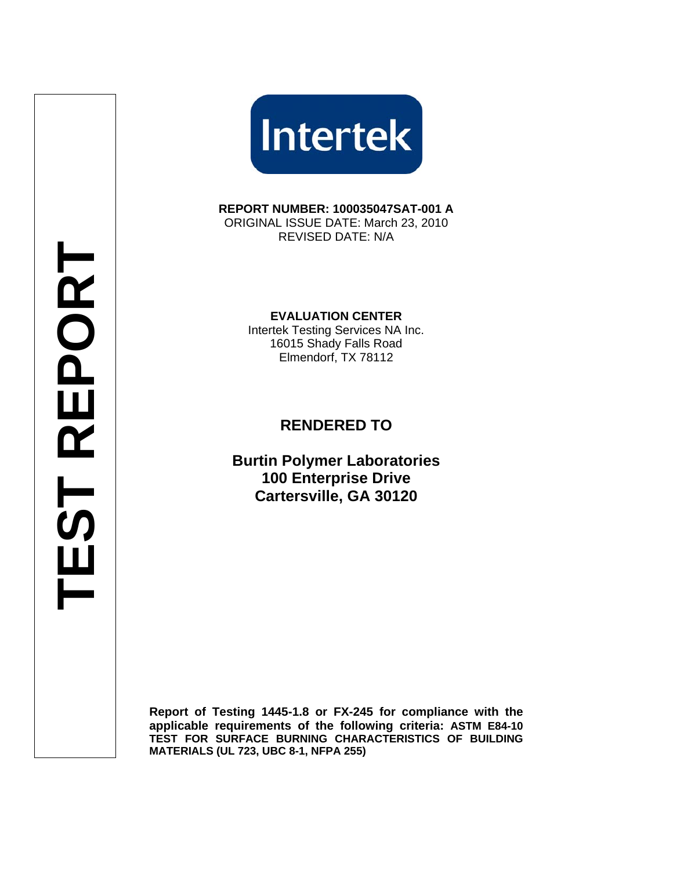**Intertek** 

**REPORT NUMBER: 100035047SAT-001 A**  ORIGINAL ISSUE DATE: March 23, 2010 REVISED DATE: N/A

**EVALUATION CENTER** 

Intertek Testing Services NA Inc. 16015 Shady Falls Road Elmendorf, TX 78112

# **RENDERED TO**

**Burtin Polymer Laboratories 100 Enterprise Drive Cartersville, GA 30120**

**Report of Testing 1445-1.8 or FX-245 for compliance with the applicable requirements of the following criteria: ASTM E84-10 TEST FOR SURFACE BURNING CHARACTERISTICS OF BUILDING MATERIALS (UL 723, UBC 8-1, NFPA 255)**

**TEST REPORT**  EST REPORT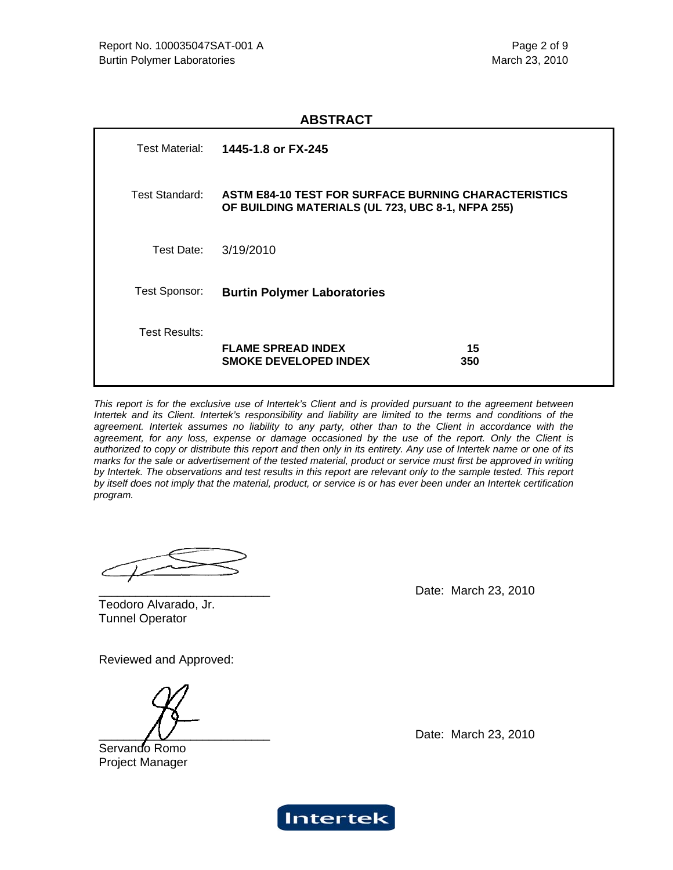#### **ABSTRACT**

| Test Material:       | 1445-1.8 or FX-245                                                                                               |           |
|----------------------|------------------------------------------------------------------------------------------------------------------|-----------|
| Test Standard:       | <b>ASTM E84-10 TEST FOR SURFACE BURNING CHARACTERISTICS</b><br>OF BUILDING MATERIALS (UL 723, UBC 8-1, NFPA 255) |           |
| Test Date:           | 3/19/2010                                                                                                        |           |
| Test Sponsor:        | <b>Burtin Polymer Laboratories</b>                                                                               |           |
| <b>Test Results:</b> | <b>FLAME SPREAD INDEX</b><br><b>SMOKE DEVELOPED INDEX</b>                                                        | 15<br>350 |

*This report is for the exclusive use of Intertek's Client and is provided pursuant to the agreement between Intertek and its Client. Intertek's responsibility and liability are limited to the terms and conditions of the agreement. Intertek assumes no liability to any party, other than to the Client in accordance with the agreement, for any loss, expense or damage occasioned by the use of the report. Only the Client is authorized to copy or distribute this report and then only in its entirety. Any use of Intertek name or one of its marks for the sale or advertisement of the tested material, product or service must first be approved in writing*  by Intertek. The observations and test results in this report are relevant only to the sample tested. This report *by itself does not imply that the material, product, or service is or has ever been under an Intertek certification program.* 

Date: March 23, 2010

Teodoro Alvarado, Jr. Tunnel Operator

Reviewed and Approved:

Servando Romo Project Manager

Date: March 23, 2010

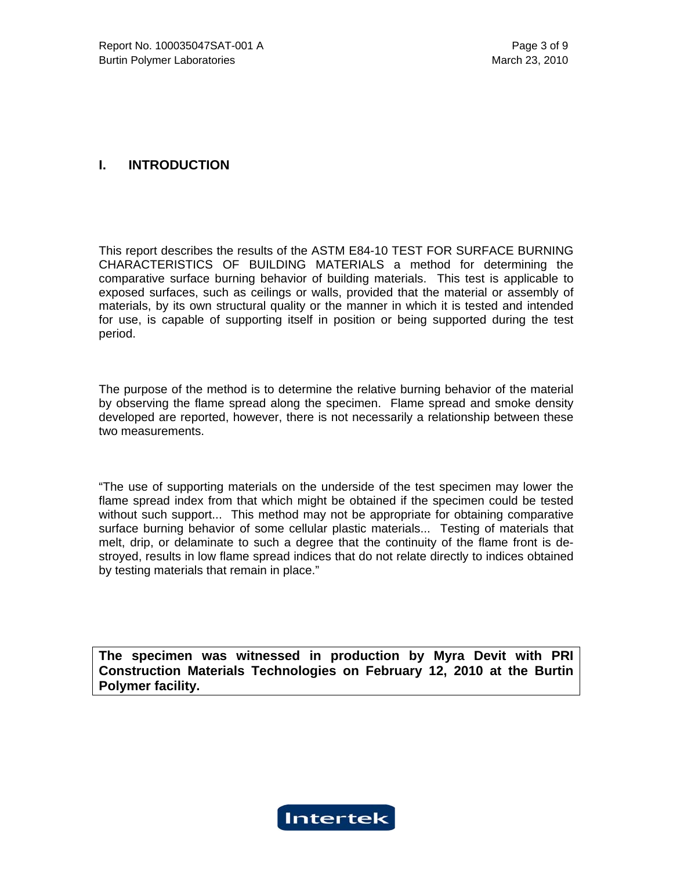## **I. INTRODUCTION**

This report describes the results of the ASTM E84-10 TEST FOR SURFACE BURNING CHARACTERISTICS OF BUILDING MATERIALS a method for determining the comparative surface burning behavior of building materials. This test is applicable to exposed surfaces, such as ceilings or walls, provided that the material or assembly of materials, by its own structural quality or the manner in which it is tested and intended for use, is capable of supporting itself in position or being supported during the test period.

The purpose of the method is to determine the relative burning behavior of the material by observing the flame spread along the specimen. Flame spread and smoke density developed are reported, however, there is not necessarily a relationship between these two measurements.

"The use of supporting materials on the underside of the test specimen may lower the flame spread index from that which might be obtained if the specimen could be tested without such support... This method may not be appropriate for obtaining comparative surface burning behavior of some cellular plastic materials... Testing of materials that melt, drip, or delaminate to such a degree that the continuity of the flame front is destroyed, results in low flame spread indices that do not relate directly to indices obtained by testing materials that remain in place."

**The specimen was witnessed in production by Myra Devit with PRI Construction Materials Technologies on February 12, 2010 at the Burtin Polymer facility.** 

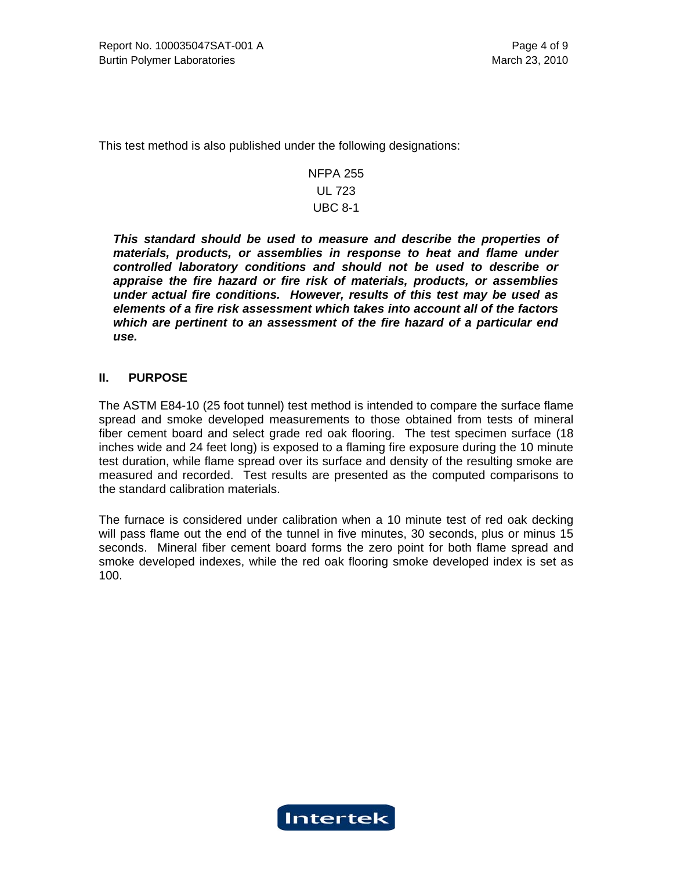This test method is also published under the following designations:

## NFPA 255 UL 723 UBC 8-1

*This standard should be used to measure and describe the properties of materials, products, or assemblies in response to heat and flame under controlled laboratory conditions and should not be used to describe or appraise the fire hazard or fire risk of materials, products, or assemblies under actual fire conditions. However, results of this test may be used as elements of a fire risk assessment which takes into account all of the factors which are pertinent to an assessment of the fire hazard of a particular end use.* 

## **II. PURPOSE**

The ASTM E84-10 (25 foot tunnel) test method is intended to compare the surface flame spread and smoke developed measurements to those obtained from tests of mineral fiber cement board and select grade red oak flooring. The test specimen surface (18 inches wide and 24 feet long) is exposed to a flaming fire exposure during the 10 minute test duration, while flame spread over its surface and density of the resulting smoke are measured and recorded. Test results are presented as the computed comparisons to the standard calibration materials.

The furnace is considered under calibration when a 10 minute test of red oak decking will pass flame out the end of the tunnel in five minutes, 30 seconds, plus or minus 15 seconds. Mineral fiber cement board forms the zero point for both flame spread and smoke developed indexes, while the red oak flooring smoke developed index is set as 100.

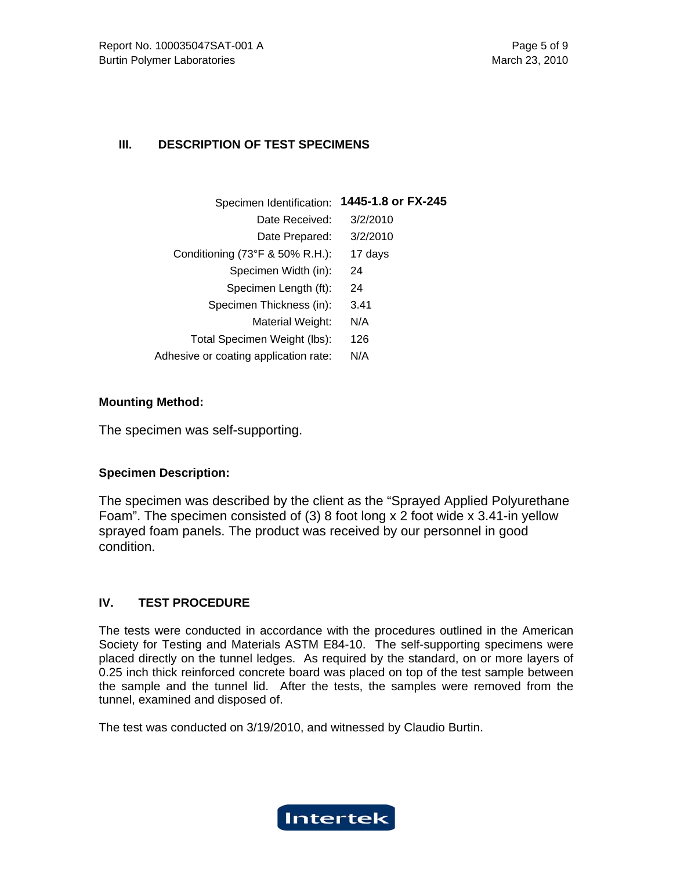## **III. DESCRIPTION OF TEST SPECIMENS**

| Specimen Identification:              | 1445-1.8 or FX-245 |
|---------------------------------------|--------------------|
| Date Received:                        | 3/2/2010           |
| Date Prepared:                        | 3/2/2010           |
| Conditioning (73°F & 50% R.H.):       | 17 days            |
| Specimen Width (in):                  | 24                 |
| Specimen Length (ft):                 | 24                 |
| Specimen Thickness (in):              | 3.41               |
| Material Weight:                      | N/A                |
| Total Specimen Weight (lbs):          | 126                |
| Adhesive or coating application rate: | N/A                |
|                                       |                    |

## **Mounting Method:**

The specimen was self-supporting.

## **Specimen Description:**

The specimen was described by the client as the "Sprayed Applied Polyurethane Foam". The specimen consisted of (3) 8 foot long x 2 foot wide x 3.41-in yellow sprayed foam panels. The product was received by our personnel in good condition.

## **IV. TEST PROCEDURE**

The tests were conducted in accordance with the procedures outlined in the American Society for Testing and Materials ASTM E84-10. The self-supporting specimens were placed directly on the tunnel ledges. As required by the standard, on or more layers of 0.25 inch thick reinforced concrete board was placed on top of the test sample between the sample and the tunnel lid. After the tests, the samples were removed from the tunnel, examined and disposed of.

The test was conducted on 3/19/2010, and witnessed by Claudio Burtin.

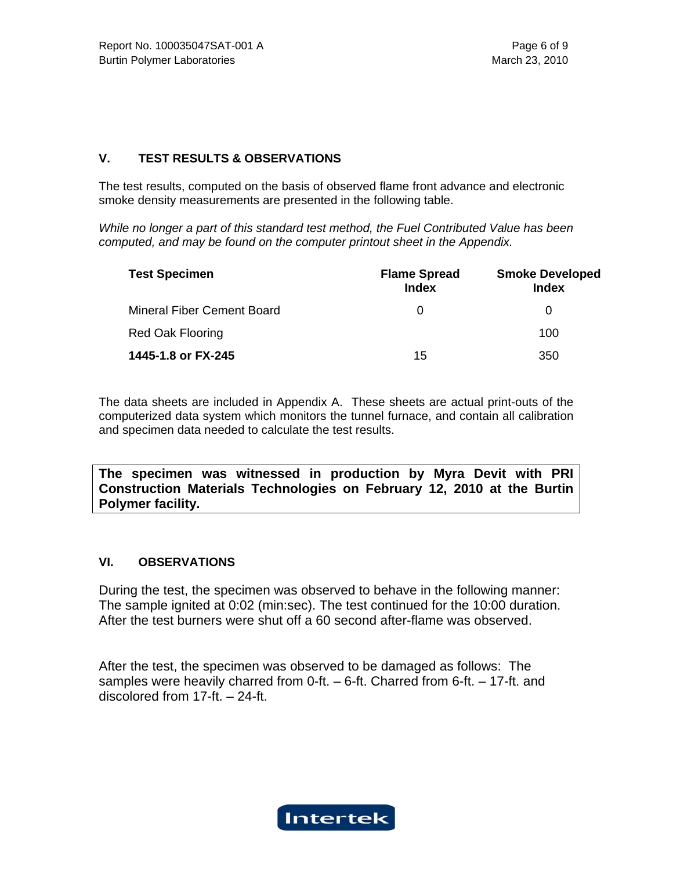## **V. TEST RESULTS & OBSERVATIONS**

The test results, computed on the basis of observed flame front advance and electronic smoke density measurements are presented in the following table.

*While no longer a part of this standard test method, the Fuel Contributed Value has been computed, and may be found on the computer printout sheet in the Appendix.*

| <b>Test Specimen</b>              | <b>Flame Spread</b><br><b>Index</b> | <b>Smoke Developed</b><br><b>Index</b> |
|-----------------------------------|-------------------------------------|----------------------------------------|
| <b>Mineral Fiber Cement Board</b> | $\Omega$                            | $\Omega$                               |
| <b>Red Oak Flooring</b>           |                                     | 100                                    |
| 1445-1.8 or FX-245                | 15                                  | 350                                    |

The data sheets are included in Appendix A. These sheets are actual print-outs of the computerized data system which monitors the tunnel furnace, and contain all calibration and specimen data needed to calculate the test results.

**The specimen was witnessed in production by Myra Devit with PRI Construction Materials Technologies on February 12, 2010 at the Burtin Polymer facility.** 

## **VI. OBSERVATIONS**

During the test, the specimen was observed to behave in the following manner: The sample ignited at 0:02 (min:sec). The test continued for the 10:00 duration. After the test burners were shut off a 60 second after-flame was observed.

After the test, the specimen was observed to be damaged as follows: The samples were heavily charred from 0-ft. – 6-ft. Charred from 6-ft. – 17-ft. and discolored from 17-ft. – 24-ft.

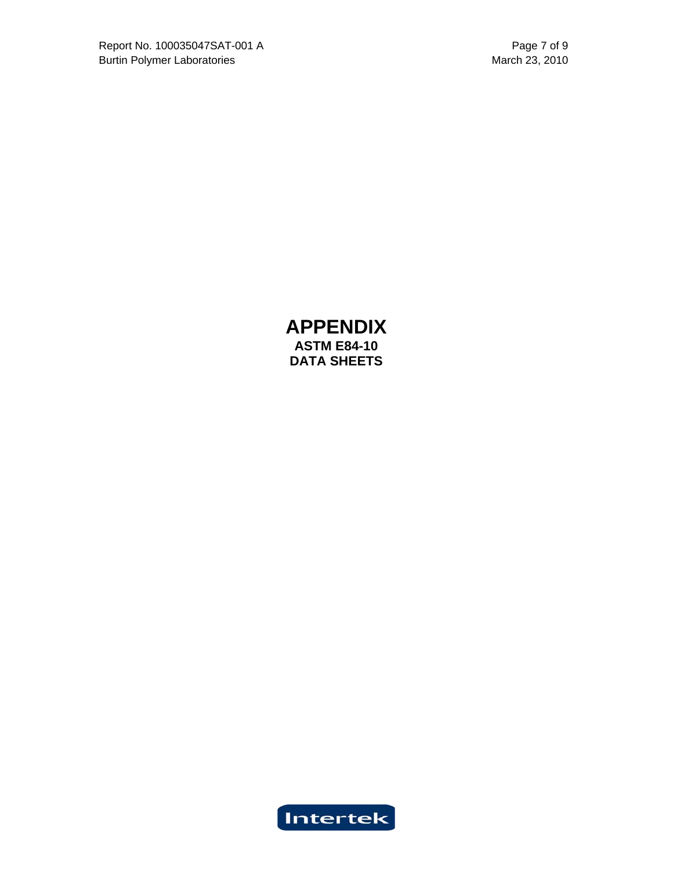**APPENDIX ASTM E84-10 DATA SHEETS**

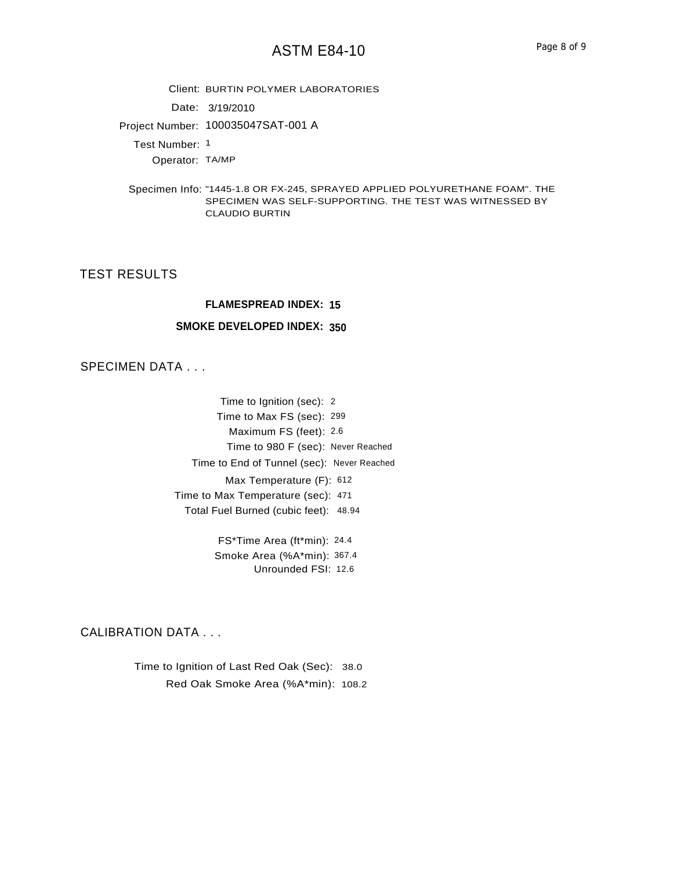Client: BURTIN POLYMER LABORATORIES

Date: 3/19/2010

Project Number: 100035047SAT-001 A

Test Number: 1

Operator: TA/MP

Specimen Info: "1445-1.8 OR FX-245, SPRAYED APPLIED POLYURETHANE FOAM". THE SPECIMEN WAS SELF-SUPPORTING. THE TEST WAS WITNESSED BY CLAUDIO BURTIN

## TEST RESULTS

#### **FLAMESPREAD INDEX: 15**

#### **SMOKE DEVELOPED INDEX: 350**

## SPECIMEN DATA . . .

Time to Ignition (sec): 2 Time to Max FS (sec): 299 Maximum FS (feet): 2.6 Max Temperature (F): 612 Time to Max Temperature (sec): 471 Total Fuel Burned (cubic feet): 48.94 Time to 980 F (sec): Never Reached Time to End of Tunnel (sec): Never Reached

> FS\*Time Area (ft\*min): 24.4 Smoke Area (%A\*min): 367.4 Unrounded FSI: 12.6

#### CALIBRATION DATA . . .

Time to Ignition of Last Red Oak (Sec): 38.0 Red Oak Smoke Area (%A\*min): 108.2